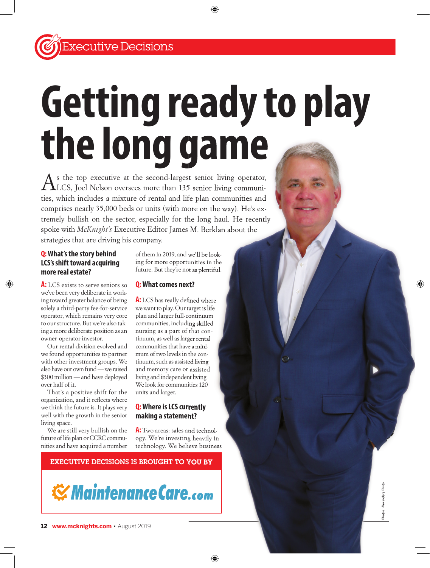# **Getting ready to play the long game**

As the top executive at the second-largest senior living operator,<br>LLCS, Joel Nelson oversees more than 135 senior living communities, which includes a mixture of rental and life plan communities and comprises nearly 35,000 beds or units (with more on the way). He's extremely bullish on the sector, especially for the long haul. He recently<br>spoke with McKnight's Executive Editor James M. Berklan about the spoke with *McKnight's* Executive Editor James M. Berklan about the strategies that are driving his company. ALCS, Joel Nelson oversees more than 135 senior living operator,<br>ties, which includes a mixture of rental and life plan communities and<br>comprises nearly 35,000 beds or units (with more on the way). He's ex-

#### **Q: What's the story behind LCS's shift toward acquiring more real estate?**

A: LCS exists to serve seniors so we've been very deliberate in working toward greater balance of being solely a third-party fee-for-service operator, which remains very core to our structure. But we're also taking a more deliberate position as an owner-operator investor.

Our rental division evolved and we found opportunities to partner with other investment groups. We also have our own fund — we raised \$300 million — and have deployed over half of it.

That's a positive shift for the organization, and it reflects where we think the future is. It plays very well with the growth in the senior living space.

We are still very bullish on the future of life plan or CCRC communities and have acquired a number

of them in 2019, and we'll be looking for more opportunities in the future. But they're not as plentiful.

#### **Q: What comes next?**

A: LCS has really defined where we want to play. Our target is life plan and larger full-continuum communities, including skilled nursing as a part of that continuum, as well as larger rental communities that have a minimum of two levels in the continuum, such as assisted living and memory care or assisted living and independent living. We look for communities 120 units and larger.

#### **Q: Where is LCS currently making a statement?**

A: Two areas: sales and technology. We're investing heavily in technology. We believe business

# EXECUTIVE DECISIONS IS BROUGHT TO YOU BY